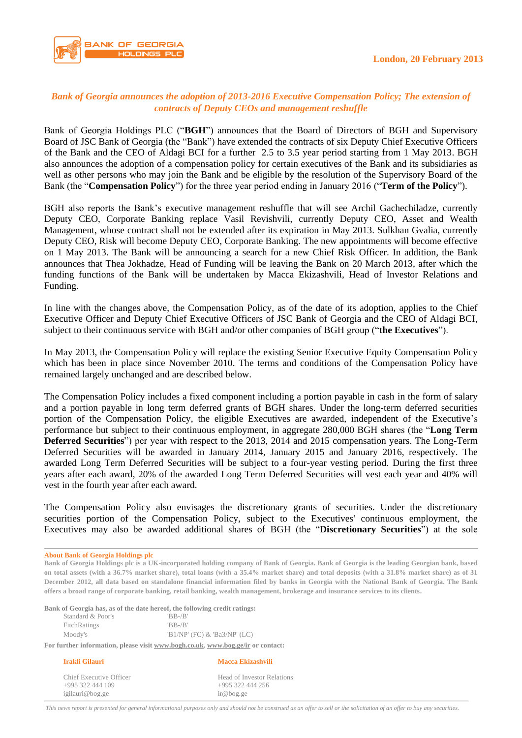

## *Bank of Georgia announces the adoption of 2013-2016 Executive Compensation Policy; The extension of contracts of Deputy CEOs and management reshuffle*

Bank of Georgia Holdings PLC ("**BGH**") announces that the Board of Directors of BGH and Supervisory Board of JSC Bank of Georgia (the "Bank") have extended the contracts of six Deputy Chief Executive Officers of the Bank and the CEO of Aldagi BCI for a further 2.5 to 3.5 year period starting from 1 May 2013. BGH also announces the adoption of a compensation policy for certain executives of the Bank and its subsidiaries as well as other persons who may join the Bank and be eligible by the resolution of the Supervisory Board of the Bank (the "**Compensation Policy**") for the three year period ending in January 2016 ("**Term of the Policy**").

BGH also reports the Bank's executive management reshuffle that will see Archil Gachechiladze, currently Deputy CEO, Corporate Banking replace Vasil Revishvili, currently Deputy CEO, Asset and Wealth Management, whose contract shall not be extended after its expiration in May 2013. Sulkhan Gvalia, currently Deputy CEO, Risk will become Deputy CEO, Corporate Banking. The new appointments will become effective on 1 May 2013. The Bank will be announcing a search for a new Chief Risk Officer. In addition, the Bank announces that Thea Jokhadze, Head of Funding will be leaving the Bank on 20 March 2013, after which the funding functions of the Bank will be undertaken by Macca Ekizashvili, Head of Investor Relations and Funding.

In line with the changes above, the Compensation Policy, as of the date of its adoption, applies to the Chief Executive Officer and Deputy Chief Executive Officers of JSC Bank of Georgia and the CEO of Aldagi BCI, subject to their continuous service with BGH and/or other companies of BGH group ("**the Executives**").

In May 2013, the Compensation Policy will replace the existing Senior Executive Equity Compensation Policy which has been in place since November 2010. The terms and conditions of the Compensation Policy have remained largely unchanged and are described below.

The Compensation Policy includes a fixed component including a portion payable in cash in the form of salary and a portion payable in long term deferred grants of BGH shares. Under the long-term deferred securities portion of the Compensation Policy, the eligible Executives are awarded, independent of the Executive's performance but subject to their continuous employment, in aggregate 280,000 BGH shares (the "**Long Term Deferred Securities**") per year with respect to the 2013, 2014 and 2015 compensation years. The Long-Term Deferred Securities will be awarded in January 2014, January 2015 and January 2016, respectively. The awarded Long Term Deferred Securities will be subject to a four-year vesting period. During the first three years after each award, 20% of the awarded Long Term Deferred Securities will vest each year and 40% will vest in the fourth year after each award.

The Compensation Policy also envisages the discretionary grants of securities. Under the discretionary securities portion of the Compensation Policy, subject to the Executives' continuous employment, the Executives may also be awarded additional shares of BGH (the "**Discretionary Securities**") at the sole

**About Bank of Georgia Holdings plc**

**Bank of Georgia Holdings plc is a UK-incorporated holding company of Bank of Georgia. Bank of Georgia is the leading Georgian bank, based on total assets (with a 36.7% market share), total loans (with a 35.4% market share) and total deposits (with a 31.8% market share) as of 31 December 2012, all data based on standalone financial information filed by banks in Georgia with the National Bank of Georgia. The Bank offers a broad range of corporate banking, retail banking, wealth management, brokerage and insurance services to its clients.**

**Bank of Georgia has, as of the date hereof, the following credit ratings:**

| Irakli Gilauri                                                                  | Macca Ekizashvili            |
|---------------------------------------------------------------------------------|------------------------------|
| For further information, please visit www.bogh.co.uk, www.bog.ge/ir or contact: |                              |
| Moody's                                                                         | 'B1/NP' (FC) & 'Ba3/NP' (LC) |
| FitchRatings                                                                    | $B - B'$                     |
| Standard & Poor's                                                               | $B - B'$                     |

igilauri@bog.ge ir@bog.ge

Chief Executive Officer Head of Investor Relations +995 322 444 109 +995 322 444 256

*This news report is presented for general informational purposes only and should not be construed as an offer to sell or the solicitation of an offer to buy any securities.*